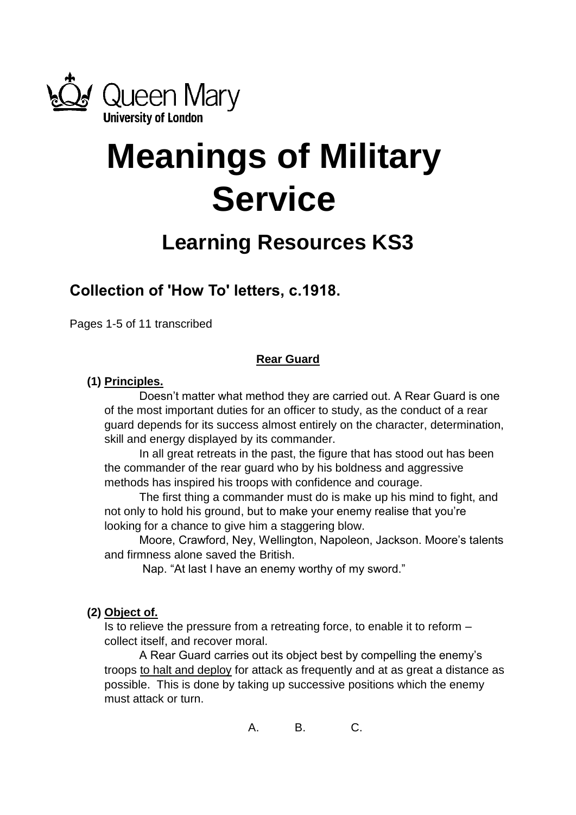

# **Meanings of Military Service**

# **Learning Resources KS3**

# **Collection of 'How To' letters, c.1918.**

Pages 1-5 of 11 transcribed

# **Rear Guard**

# **(1) Principles.**

Doesn't matter what method they are carried out. A Rear Guard is one of the most important duties for an officer to study, as the conduct of a rear guard depends for its success almost entirely on the character, determination, skill and energy displayed by its commander.

In all great retreats in the past, the figure that has stood out has been the commander of the rear guard who by his boldness and aggressive methods has inspired his troops with confidence and courage.

The first thing a commander must do is make up his mind to fight, and not only to hold his ground, but to make your enemy realise that you're looking for a chance to give him a staggering blow.

Moore, Crawford, Ney, Wellington, Napoleon, Jackson. Moore's talents and firmness alone saved the British.

Nap. "At last I have an enemy worthy of my sword."

# **(2) Object of.**

Is to relieve the pressure from a retreating force, to enable it to reform – collect itself, and recover moral.

A Rear Guard carries out its object best by compelling the enemy's troops to halt and deploy for attack as frequently and at as great a distance as possible. This is done by taking up successive positions which the enemy must attack or turn.

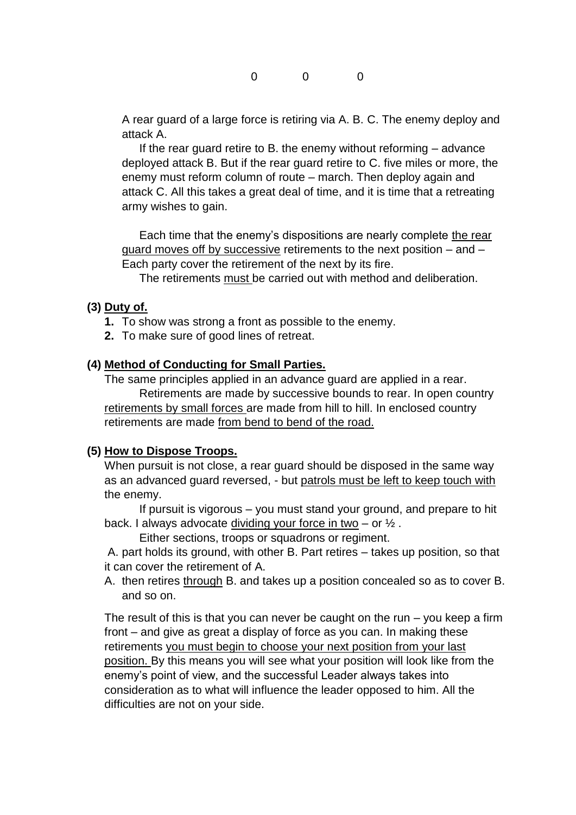A rear guard of a large force is retiring via A. B. C. The enemy deploy and attack A.

If the rear guard retire to B. the enemy without reforming – advance deployed attack B. But if the rear guard retire to C. five miles or more, the enemy must reform column of route – march. Then deploy again and attack C. All this takes a great deal of time, and it is time that a retreating army wishes to gain.

Each time that the enemy's dispositions are nearly complete the rear guard moves off by successive retirements to the next position – and – Each party cover the retirement of the next by its fire.

The retirements must be carried out with method and deliberation.

#### **(3) Duty of.**

- **1.** To show was strong a front as possible to the enemy.
- **2.** To make sure of good lines of retreat.

#### **(4) Method of Conducting for Small Parties.**

The same principles applied in an advance guard are applied in a rear. Retirements are made by successive bounds to rear. In open country retirements by small forces are made from hill to hill. In enclosed country retirements are made from bend to bend of the road.

#### **(5) How to Dispose Troops.**

When pursuit is not close, a rear guard should be disposed in the same way as an advanced guard reversed, - but patrols must be left to keep touch with the enemy.

If pursuit is vigorous – you must stand your ground, and prepare to hit back. I always advocate dividing your force in two  $-$  or  $\frac{1}{2}$ .

Either sections, troops or squadrons or regiment.

A. part holds its ground, with other B. Part retires – takes up position, so that it can cover the retirement of A.

A. then retires through B. and takes up a position concealed so as to cover B. and so on.

The result of this is that you can never be caught on the run  $-$  you keep a firm front – and give as great a display of force as you can. In making these retirements you must begin to choose your next position from your last position. By this means you will see what your position will look like from the enemy's point of view, and the successful Leader always takes into consideration as to what will influence the leader opposed to him. All the difficulties are not on your side.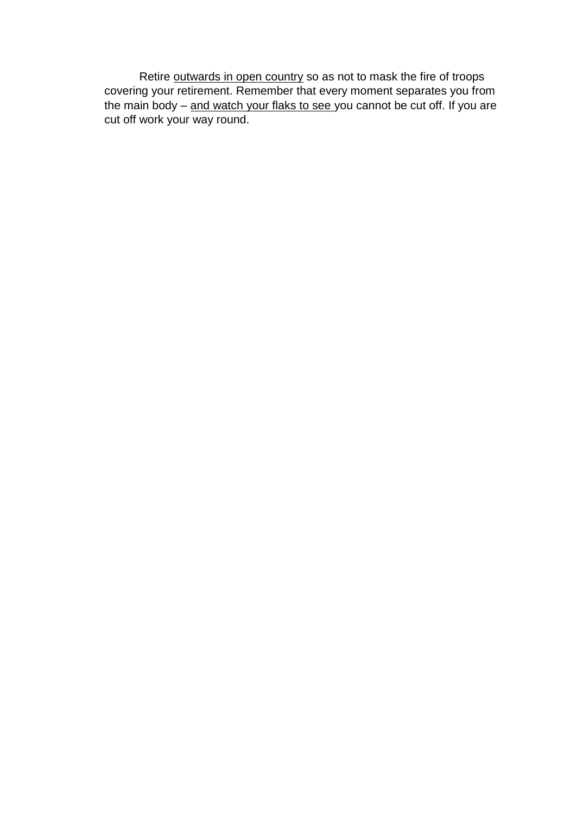Retire outwards in open country so as not to mask the fire of troops covering your retirement. Remember that every moment separates you from the main body – and watch your flaks to see you cannot be cut off. If you are cut off work your way round.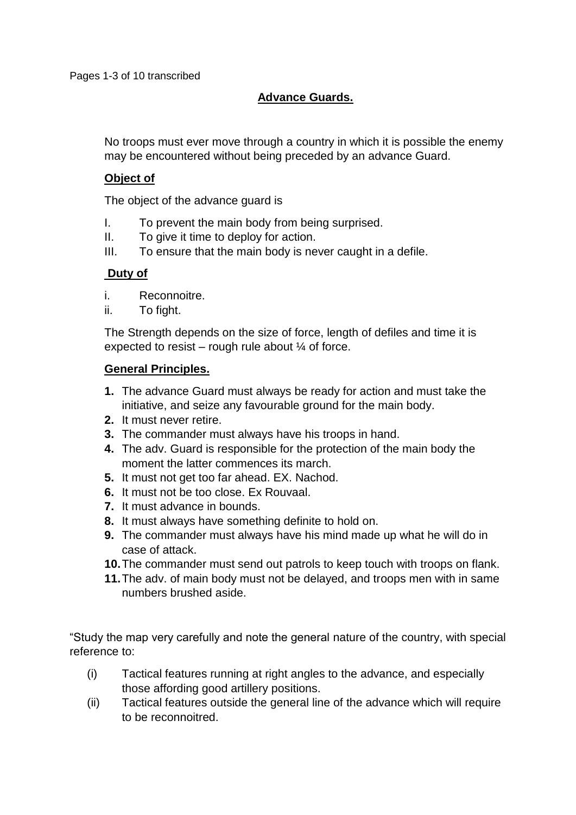# **Advance Guards.**

No troops must ever move through a country in which it is possible the enemy may be encountered without being preceded by an advance Guard.

# **Object of**

The object of the advance guard is

- I. To prevent the main body from being surprised.
- II. To give it time to deploy for action.
- III. To ensure that the main body is never caught in a defile.

#### **Duty of**

- i. Reconnoitre.
- ii. To fight.

The Strength depends on the size of force, length of defiles and time it is expected to resist – rough rule about  $\frac{1}{4}$  of force.

#### **General Principles.**

- **1.** The advance Guard must always be ready for action and must take the initiative, and seize any favourable ground for the main body.
- **2.** It must never retire.
- **3.** The commander must always have his troops in hand.
- **4.** The adv. Guard is responsible for the protection of the main body the moment the latter commences its march.
- **5.** It must not get too far ahead. EX. Nachod.
- **6.** It must not be too close. Ex Rouvaal.
- **7.** It must advance in bounds.
- **8.** It must always have something definite to hold on.
- **9.** The commander must always have his mind made up what he will do in case of attack.
- **10.**The commander must send out patrols to keep touch with troops on flank.
- **11.**The adv. of main body must not be delayed, and troops men with in same numbers brushed aside.

"Study the map very carefully and note the general nature of the country, with special reference to:

- (i) Tactical features running at right angles to the advance, and especially those affording good artillery positions.
- (ii) Tactical features outside the general line of the advance which will require to be reconnoitred.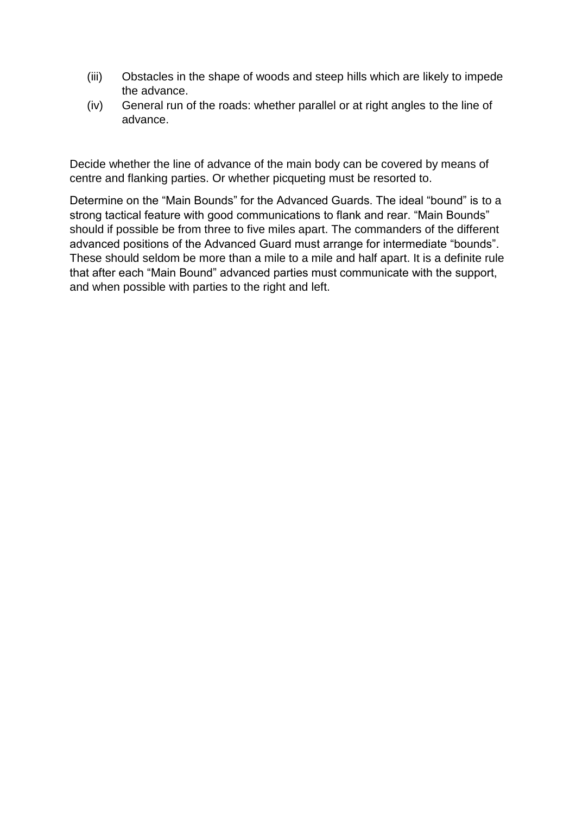- (iii) Obstacles in the shape of woods and steep hills which are likely to impede the advance.
- (iv) General run of the roads: whether parallel or at right angles to the line of advance.

Decide whether the line of advance of the main body can be covered by means of centre and flanking parties. Or whether picqueting must be resorted to.

Determine on the "Main Bounds" for the Advanced Guards. The ideal "bound" is to a strong tactical feature with good communications to flank and rear. "Main Bounds" should if possible be from three to five miles apart. The commanders of the different advanced positions of the Advanced Guard must arrange for intermediate "bounds". These should seldom be more than a mile to a mile and half apart. It is a definite rule that after each "Main Bound" advanced parties must communicate with the support, and when possible with parties to the right and left.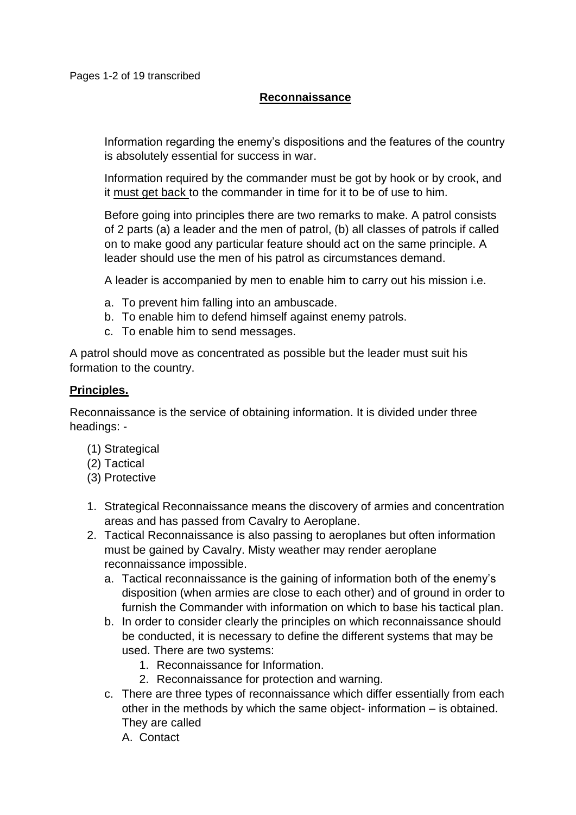# **Reconnaissance**

Information regarding the enemy's dispositions and the features of the country is absolutely essential for success in war.

Information required by the commander must be got by hook or by crook, and it must get back to the commander in time for it to be of use to him.

Before going into principles there are two remarks to make. A patrol consists of 2 parts (a) a leader and the men of patrol, (b) all classes of patrols if called on to make good any particular feature should act on the same principle. A leader should use the men of his patrol as circumstances demand.

A leader is accompanied by men to enable him to carry out his mission i.e.

- a. To prevent him falling into an ambuscade.
- b. To enable him to defend himself against enemy patrols.
- c. To enable him to send messages.

A patrol should move as concentrated as possible but the leader must suit his formation to the country.

#### **Principles.**

Reconnaissance is the service of obtaining information. It is divided under three headings: -

- (1) Strategical
- (2) Tactical
- (3) Protective
- 1. Strategical Reconnaissance means the discovery of armies and concentration areas and has passed from Cavalry to Aeroplane.
- 2. Tactical Reconnaissance is also passing to aeroplanes but often information must be gained by Cavalry. Misty weather may render aeroplane reconnaissance impossible.
	- a. Tactical reconnaissance is the gaining of information both of the enemy's disposition (when armies are close to each other) and of ground in order to furnish the Commander with information on which to base his tactical plan.
	- b. In order to consider clearly the principles on which reconnaissance should be conducted, it is necessary to define the different systems that may be used. There are two systems:
		- 1. Reconnaissance for Information.
		- 2. Reconnaissance for protection and warning.
	- c. There are three types of reconnaissance which differ essentially from each other in the methods by which the same object- information – is obtained. They are called
		- A. Contact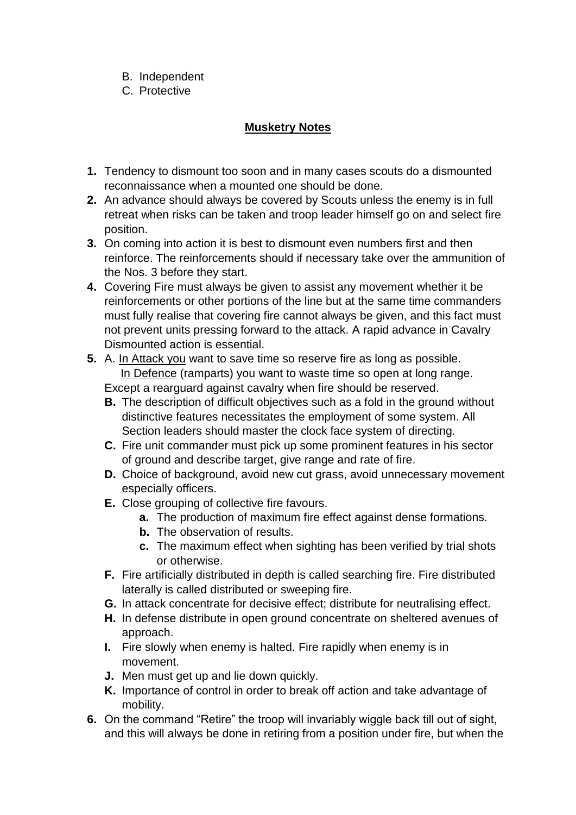- B. Independent
- C. Protective

# **Musketry Notes**

- **1.** Tendency to dismount too soon and in many cases scouts do a dismounted reconnaissance when a mounted one should be done.
- **2.** An advance should always be covered by Scouts unless the enemy is in full retreat when risks can be taken and troop leader himself go on and select fire position.
- **3.** On coming into action it is best to dismount even numbers first and then reinforce. The reinforcements should if necessary take over the ammunition of the Nos. 3 before they start.
- **4.** Covering Fire must always be given to assist any movement whether it be reinforcements or other portions of the line but at the same time commanders must fully realise that covering fire cannot always be given, and this fact must not prevent units pressing forward to the attack. A rapid advance in Cavalry Dismounted action is essential.
- **5.** A. In Attack you want to save time so reserve fire as long as possible. In Defence (ramparts) you want to waste time so open at long range. Except a rearguard against cavalry when fire should be reserved.
	- **B.** The description of difficult objectives such as a fold in the ground without distinctive features necessitates the employment of some system. All
		- Section leaders should master the clock face system of directing.
	- **C.** Fire unit commander must pick up some prominent features in his sector of ground and describe target, give range and rate of fire.
	- **D.** Choice of background, avoid new cut grass, avoid unnecessary movement especially officers.
	- **E.** Close grouping of collective fire favours.
		- **a.** The production of maximum fire effect against dense formations.
		- **b.** The observation of results.
		- **c.** The maximum effect when sighting has been verified by trial shots or otherwise.
	- **F.** Fire artificially distributed in depth is called searching fire. Fire distributed laterally is called distributed or sweeping fire.
	- **G.** In attack concentrate for decisive effect; distribute for neutralising effect.
	- **H.** In defense distribute in open ground concentrate on sheltered avenues of approach.
	- **I.** Fire slowly when enemy is halted. Fire rapidly when enemy is in movement.
	- **J.** Men must get up and lie down quickly.
	- **K.** Importance of control in order to break off action and take advantage of mobility.
- **6.** On the command "Retire" the troop will invariably wiggle back till out of sight, and this will always be done in retiring from a position under fire, but when the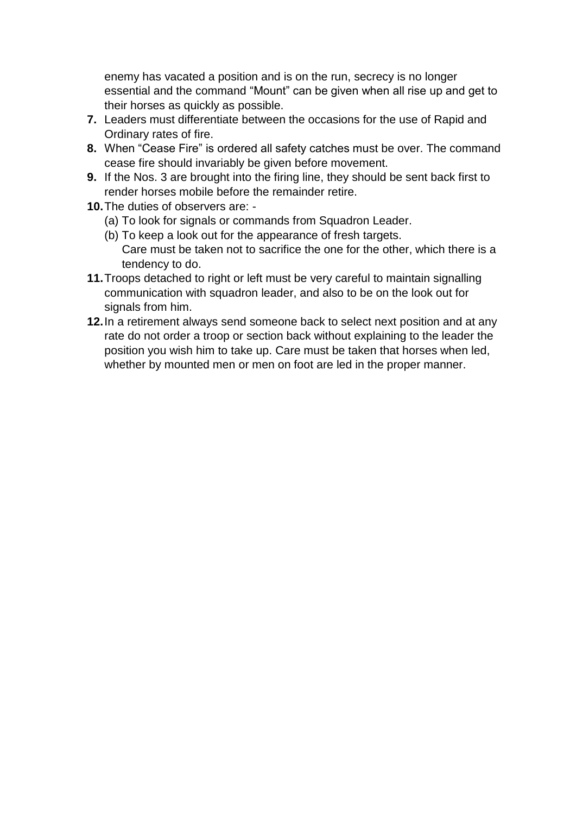enemy has vacated a position and is on the run, secrecy is no longer essential and the command "Mount" can be given when all rise up and get to their horses as quickly as possible.

- **7.** Leaders must differentiate between the occasions for the use of Rapid and Ordinary rates of fire.
- **8.** When "Cease Fire" is ordered all safety catches must be over. The command cease fire should invariably be given before movement.
- **9.** If the Nos. 3 are brought into the firing line, they should be sent back first to render horses mobile before the remainder retire.
- **10.**The duties of observers are:
	- (a) To look for signals or commands from Squadron Leader.
	- (b) To keep a look out for the appearance of fresh targets. Care must be taken not to sacrifice the one for the other, which there is a tendency to do.
- **11.**Troops detached to right or left must be very careful to maintain signalling communication with squadron leader, and also to be on the look out for signals from him.
- **12.**In a retirement always send someone back to select next position and at any rate do not order a troop or section back without explaining to the leader the position you wish him to take up. Care must be taken that horses when led, whether by mounted men or men on foot are led in the proper manner.